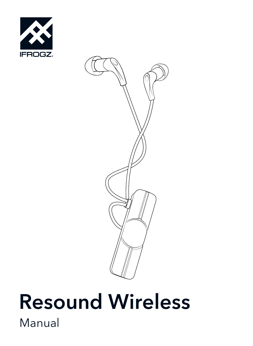



# Resound Wireless Manual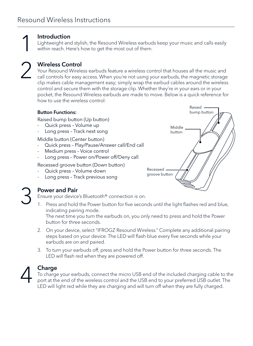## Introduction 1

Lightweight and stylish, the Resound Wireless earbuds keep your music and calls easily within reach. Here's how to get the most out of them.

2

#### Wireless Control

Your Resound Wireless earbuds feature a wireless control that houses all the music and call controls for easy access. When you're not using your earbuds, the magnetic storage clip makes cable management easy; simply wrap the earbud cables around the wireless control and secure them with the storage clip. Whether they're in your ears or in your pocket, the Resound Wireless earbuds are made to move. Below is a quick reference for how to use the wireless control:

#### Button Functions:

Raised bump button (Up button)

- Quick press Volume up
- Long press Track next song

Middle button (Center button)

- Quick press Play/Pause/Answer call/End call
- Medium press Voice control
- Long press Power on/Power off/Deny call

Recessed groove button (Down button)

- Quick press Volume down
- Long press Track previous song



#### Power and Pair

Ensure your device's Bluetooth® connection is on.

1. Press and hold the Power button for five seconds until the light flashes red and blue, indicating pairing mode.

The next time you turn the earbuds on, you only need to press and hold the Power button for three seconds.

- 2. On your device, select "IFROGZ Resound Wireless." Complete any additional pairing steps based on your device. The LED will flash blue every five seconds while your earbuds are on and paired.
- 3. To turn your earbuds off, press and hold the Power button for three seconds. The LED will flash red when they are powered off.



3

#### Charge

To charge your earbuds, connect the micro USB end of the included charging cable to the port at the end of the wireless control and the USB end to your preferred USB outlet. The LED will light red while they are charging and will turn off when they are fully charged.